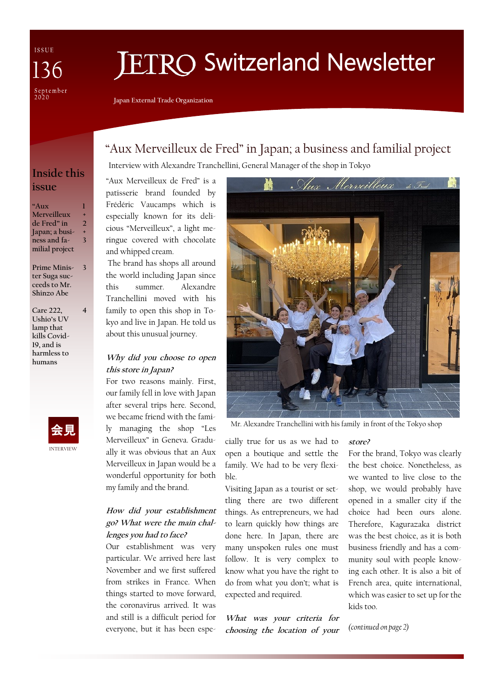ISSUE  $\sqrt{36}$ September<br>2020

# **ETRO Switzerland Newsletter**

**Japan External Trade Organization**

## "Aux Merveilleux de Fred" in Japan; a business and familial project

Interview with Alexandre Tranchellini, General Manager of the shop in Tokyo

## **Inside this issue**

- **"Aux Merveilleux de Fred" in Japan; a business and familial project 1 + 2 + 3**
- **Prime Minister Suga succeeds to Mr. Shinzo Abe**

**3**

**4**

**Care 222, Ushio's UV lamp that kills Covid-19, and is harmless to humans** 



#### "Aux Merveilleux de Fred" is a patisserie brand founded by Frédéric Vaucamps which is especially known for its delicious "Merveilleux", a light meringue covered with chocolate and whipped cream.

The brand has shops all around the world including Japan since this summer. Alexandre Tranchellini moved with his family to open this shop in Tokyo and live in Japan. He told us about this unusual journey.

#### **Why did you choose to open this store in Japan?**

For two reasons mainly. First, our family fell in love with Japan after several trips here. Second, we became friend with the family managing the shop "Les Merveilleux" in Geneva. Gradually it was obvious that an Aux Merveilleux in Japan would be a wonderful opportunity for both my family and the brand.

### **How did your establishment go? What were the main challenges you had to face?**

Our establishment was very particular. We arrived here last November and we first suffered from strikes in France. When things started to move forward, the coronavirus arrived. It was and still is a difficult period for everyone, but it has been espe-



Mr. Alexandre Tranchellini with his family in front of the Tokyo shop

cially true for us as we had to open a boutique and settle the family. We had to be very flexible.

Visiting Japan as a tourist or settling there are two different things. As entrepreneurs, we had to learn quickly how things are done here. In Japan, there are many unspoken rules one must follow. It is very complex to know what you have the right to do from what you don't; what is expected and required.

**What was your criteria for choosing the location of your** 

#### **store?**

For the brand, Tokyo was clearly the best choice. Nonetheless, as we wanted to live close to the shop, we would probably have opened in a smaller city if the choice had been ours alone. Therefore, Kagurazaka district was the best choice, as it is both business friendly and has a community soul with people knowing each other. It is also a bit of French area, quite international, which was easier to set up for the kids too.

*(continued on page 2)*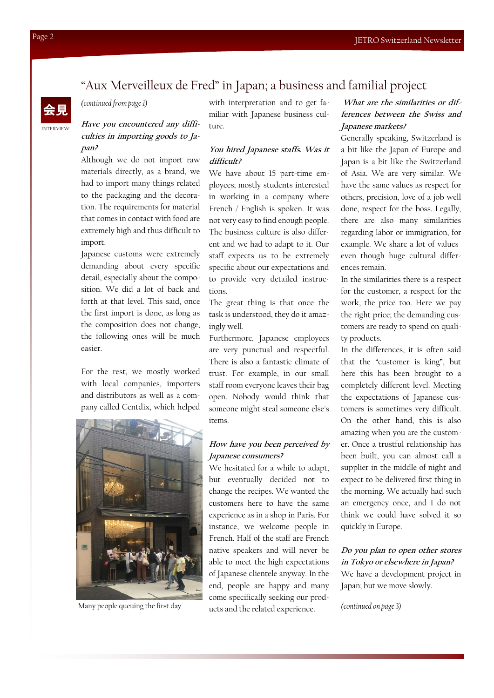

*(continued from page 1)*

#### **Have you encountered any difficulties in importing goods to Japan?**

Although we do not import raw materials directly, as a brand, we had to import many things related to the packaging and the decoration. The requirements for material that comes in contact with food are extremely high and thus difficult to import.

Japanese customs were extremely demanding about every specific detail, especially about the composition. We did a lot of back and forth at that level. This said, once the first import is done, as long as the composition does not change, the following ones will be much easier.

For the rest, we mostly worked with local companies, importers and distributors as well as a company called Centdix, which helped



with interpretation and to get familiar with Japanese business culture.

#### **You hired Japanese staffs. Was it difficult?**

We have about 15 part-time employees; mostly students interested in working in a company where French / English is spoken. It was not very easy to find enough people. The business culture is also different and we had to adapt to it. Our staff expects us to be extremely specific about our expectations and to provide very detailed instructions.

The great thing is that once the task is understood, they do it amazingly well.

Furthermore, Japanese employees are very punctual and respectful. There is also a fantastic climate of trust. For example, in our small staff room everyone leaves their bag open. Nobody would think that someone might steal someone else's items.

#### **How have you been perceived by Japanese consumers?**

We hesitated for a while to adapt, but eventually decided not to change the recipes. We wanted the customers here to have the same experience as in a shop in Paris. For instance, we welcome people in French. Half of the staff are French native speakers and will never be able to meet the high expectations of Japanese clientele anyway. In the end, people are happy and many come specifically seeking our products and the related experience. Many people queuing the first day *(continued on page 3)*

**What are the similarities or differences between the Swiss and Japanese markets?**

Generally speaking, Switzerland is a bit like the Japan of Europe and Japan is a bit like the Switzerland of Asia. We are very similar. We have the same values as respect for others, precision, love of a job well done, respect for the boss. Legally, there are also many similarities regarding labor or immigration, for example. We share a lot of values even though huge cultural differences remain.

In the similarities there is a respect for the customer, a respect for the work, the price too. Here we pay the right price; the demanding customers are ready to spend on quality products.

In the differences, it is often said that the "customer is king", but here this has been brought to a completely different level. Meeting the expectations of Japanese customers is sometimes very difficult. On the other hand, this is also amazing when you are the customer. Once a trustful relationship has been built, you can almost call a supplier in the middle of night and expect to be delivered first thing in the morning. We actually had such an emergency once, and I do not think we could have solved it so quickly in Europe.

#### **Do you plan to open other stores in Tokyo or elsewhere in Japan?**

We have a development project in Japan; but we move slowly.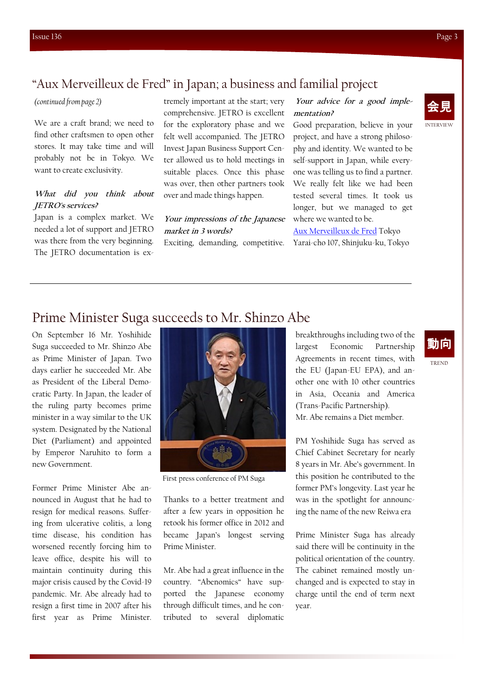## "Aux Merveilleux de Fred" in Japan; a business and familial project

#### *(continued from page 2)*

We are a craft brand; we need to find other craftsmen to open other stores. It may take time and will probably not be in Tokyo. We want to create exclusivity.

#### **What did you think about JETRO's services?**

Japan is a complex market. We needed a lot of support and JETRO was there from the very beginning. The JETRO documentation is ex-

tremely important at the start; very comprehensive. JETRO is excellent for the exploratory phase and we felt well accompanied. The JETRO Invest Japan Business Support Center allowed us to hold meetings in suitable places. Once this phase was over, then other partners took over and made things happen.

**Your impressions of the Japanese market in 3 words?** Exciting, demanding, competitive. Yarai-cho 107, Shinjuku-ku, Tokyo

#### **Your advice for a good implementation?**

Good preparation, believe in your project, and have a strong philosophy and identity. We wanted to be self-support in Japan, while everyone was telling us to find a partner. We really felt like we had been tested several times. It took us longer, but we managed to get where we wanted to be.

[Aux Merveilleux de Fred](http://www.auxmerveilleux.com/home_en/) Tokyo



# Prime Minister Suga succeeds to Mr. Shinzo Abe

On September 16 Mr. Yoshihide Suga succeeded to Mr. Shinzo Abe as Prime Minister of Japan. Two days earlier he succeeded Mr. Abe as President of the Liberal Democratic Party. In Japan, the leader of the ruling party becomes prime minister in a way similar to the UK system. Designated by the National Diet (Parliament) and appointed by Emperor Naruhito to form a new Government.

Former Prime Minister Abe announced in August that he had to resign for medical reasons. Suffering from ulcerative colitis, a long time disease, his condition has worsened recently forcing him to leave office, despite his will to maintain continuity during this major crisis caused by the Covid-19 pandemic. Mr. Abe already had to resign a first time in 2007 after his first year as Prime Minister.



First press conference of PM Suga

Thanks to a better treatment and after a few years in opposition he retook his former office in 2012 and became Japan's longest serving Prime Minister.

Mr. Abe had a great influence in the country. "Abenomics" have supported the Japanese economy through difficult times, and he contributed to several diplomatic breakthroughs including two of the largest Economic Partnership Agreements in recent times, with the EU (Japan-EU EPA), and another one with 10 other countries in Asia, Oceania and America (Trans-Pacific Partnership). Mr. Abe remains a Diet member.

PM Yoshihide Suga has served as Chief Cabinet Secretary for nearly 8 years in Mr. Abe's government. In this position he contributed to the former PM's longevity. Last year he was in the spotlight for announcing the name of the new Reiwa era

Prime Minister Suga has already said there will be continuity in the political orientation of the country. The cabinet remained mostly unchanged and is expected to stay in charge until the end of term next year.

# 動向

TREND